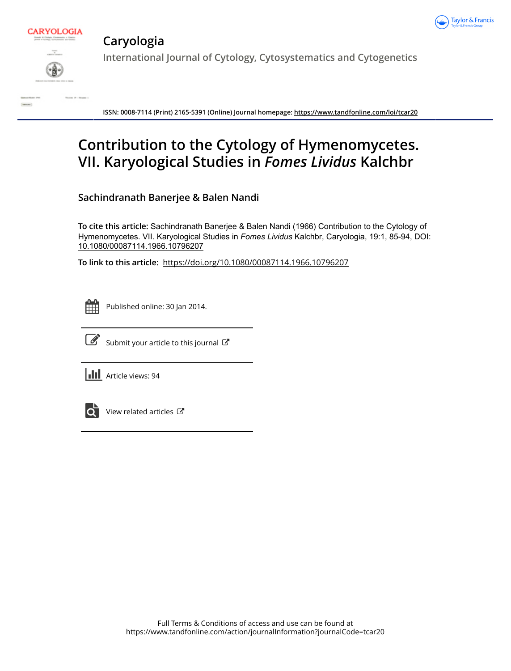



## **Caryologia**

**International Journal of Cytology, Cytosystematics and Cytogenetics**

**ISSN: 0008-7114 (Print) 2165-5391 (Online) Journal homepage:<https://www.tandfonline.com/loi/tcar20>**

# **Contribution to the Cytology of Hymenomycetes. VII. Karyological Studies in** *Fomes Lividus* **Kalchbr**

**Sachindranath Banerjee & Balen Nandi**

**To cite this article:** Sachindranath Banerjee & Balen Nandi (1966) Contribution to the Cytology of Hymenomycetes. VII. Karyological Studies in *FomesLividus* Kalchbr, Caryologia, 19:1, 85-94, DOI: [10.1080/00087114.1966.10796207](https://www.tandfonline.com/action/showCitFormats?doi=10.1080/00087114.1966.10796207)

**To link to this article:** <https://doi.org/10.1080/00087114.1966.10796207>

ËË

Published online: 30 Jan 2014.



 $\overrightarrow{S}$  [Submit your article to this journal](https://www.tandfonline.com/action/authorSubmission?journalCode=tcar20&show=instructions)  $\overrightarrow{S}$ 

**III** Article views: 94



[View related articles](https://www.tandfonline.com/doi/mlt/10.1080/00087114.1966.10796207)  $\mathbb{Z}$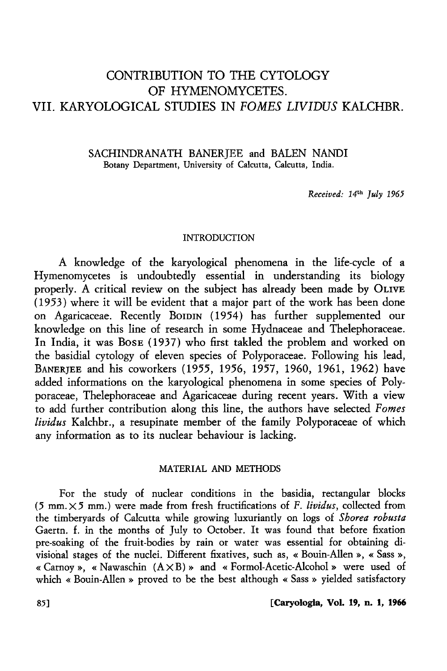### CONTRIBUTION TO THE CYTOLOGY OF HYMENOMYCETES. VII. KARYOLOGICAL STUDIES IN *FOMES LIVIDUS* KALCHBR.

#### SACHINDRANATH BANERJEE and BALEN NANDI Botany Department, University of Calcutta, Calcutta, India.

*Received:* 14th *July 1965* 

#### INTRODUCTION

A knowledge of the karyological phenomena in the life-cycle of a Hymenomycetes is undoubtedly essential in understanding its biology properly. A critical review on the subject has already been made by OLIVE (1953) where it will be evident that a major part of the work has been done on Agaricaceae. Recently BOIDIN (1954) has further supplemented our knowledge on this line of research in some Hydnaceae and Thelephoraceae. In India, it was Bose (1937) who first takled the problem and worked on the basidial cytology of eleven species of Polyporaceae. Following his lead, BANERJEE and his coworkers (1955, 1956, 1957, 1960, 1961, 1962) have added informations on the karyological phenomena in some species of Polyporaceae, Thelephoraceae and Agaricaceae during recent years. With a view to add further contribution along this line, the authors have selected *Fomes lividus* Kalchbr., a resupinate member of the family Polyporaceae of which any information as to its nuclear behaviour is lacking.

#### MATERIAL AND METHODS

For the study of nuclear conditions in the basidia, rectangular blocks  $(5 \text{ mm.} \times 5 \text{ mm.})$  were made from fresh fructifications of F. *lividus*, collected from the timberyards of Calcutta while growing luxuriantly on logs of *Shorea robusta*  Gaertn. f. in the months of July to October. It was found that before fixation pre-soaking of the fruit-bodies by rain or water was essential for obtaining divisional stages of the nuclei. Different fixatives, such as, « Bouin-Allen », « Sass », « Carnoy », « Nawaschin  $(A \times B)$  » and « Formol-Acetic-Alcohol » were used of which « Bouin-Allen » proved to be the best although « Sass » yielded satisfactory

#### 85] **[Caryologia, Vol. 19, n. 1, 1966**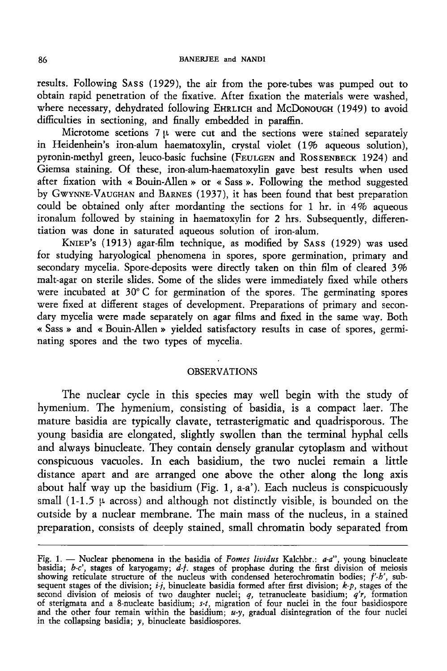results. Following SAss (1929), the air from the pore-tubes was pumped out to obtain rapid penetration of the fixative. After fixation the materials were washed, where necessary, dehydrated following EHRLICH and McDoNOUGH (1949) to avoid difficulties in sectioning, and finally embedded in paraffin.

Microtome scetions  $7 \mu$  were cut and the sections were stained separately in Heidenhein's iron-alum haematoxylin, crystal violet (1% aqueous solution), pyronin-methyl green, leuco-basic fuchsine (FEULGEN and RosSENBECK 1924) and Giemsa staining. Of these, iron-alum-haematoxylin gave best results when used after fixation with « Bouin-Allen » or « Sass ». Following the method suggested by GWYNNE-VAUGHAN and BARNES (1937), it has been found that best preparation could be obtained only after mordanting the sections for 1 hr. in 4% aqueous ironalum followed by staining in haematoxylin for 2 hrs. Subsequently, differentiation was done in saturated aqueous solution of iron-alum.

KNIEP's (1913) agar-film technique, as modified by SAss (1929) was used for studying haryological phenomena in spores, spore germination, primary and secondary mycelia. Spore-deposits were directly taken on thin film of cleared 3% malt-agar on sterile slides. Some of the slides were immediately fixed while others were incubated at 30° C for germination of the spores. The germinating spores were fixed at different stages of development. Preparations of primary and secondary mycelia were made separately on agar films and fixed in the same way. Both « Sass » and « Bouin-Allen » yielded satisfactory results in case of spores, germinating spores and the two types of mycelia.

#### OBSERVATIONS

The nuclear cycle in this species may well begin with the study of hymenium. The hymenium, consisting of basidia, is a compact laer. The mature basidia are typically clavate, tetrasterigmatic and quadrisporous. The young basidia are elongated, slightly swollen than the terminal hyphal cells and always binucleate. They contain densely granular cytoplasm and without conspicuous vacuoles. In each basidium, the two nuclei remain a little distance apart and are arranged one above the other along the long axis about half way up the basidium (Fig. 1, a-a'). Each nucleus is conspicuously small (1-1.5  $\mu$  across) and although not distinctly visible, is bounded on the outside by a nuclear membrane. The main mass of the nucleus, in a stained preparation, consists of deeply stained, small chromatin body separated from

Fig. 1. - Nuclear phenomena in the basidia of *Fomes lividus* Kalchbr.: *a-a*", young binucleate basidia; *b-c'*, stages of karyogamy; *d-f.* stages of prophase during the first division of meiosis showing reticulate structure of the nucleus with condensed heterochromatin bodies; *f'-h'*, subsequent stages of the division; *i-i,* binucleate basidia formed after first division; k-p, stages of the second division of meiosis of two daughter nuclei; *q,* tetranucleate basidium; *q'r,* formation of sterigmata and a 8-nucleate basidium; *S·t,* migration of four nuclei in the four basidiospore and the other four remain within the basidium; u-y, gradual disintegration of the four nuclei in the collapsing basidia; *y,* binucleate basidiospores.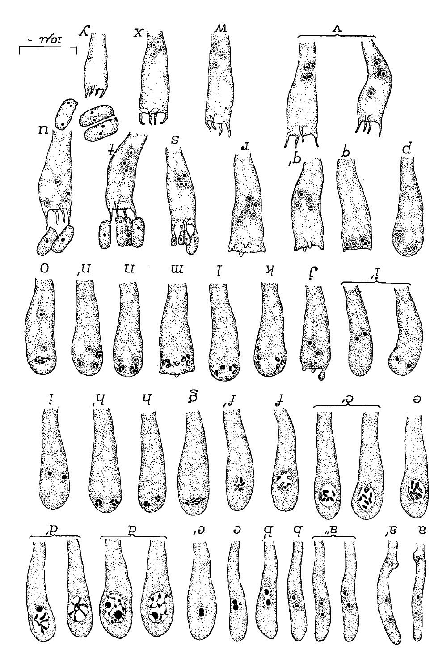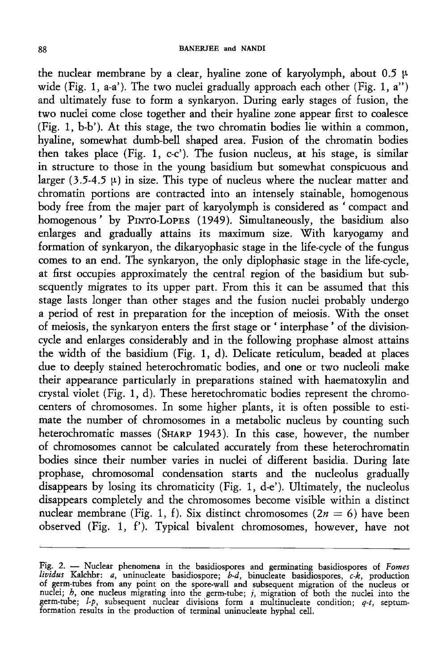the nuclear membrane by a clear, hyaline zone of karyolymph, about 0.5  $\mu$ wide (Fig. 1, a-a'). The two nuclei gradually approach each other (Fig. 1, a") and ultimately fuse to form a synkaryon. During early stages of fusion, the two nuclei come close together and their hyaline zone appear first to coalesce (Fig. 1, b-b'). At this stage, the two chromatin bodies lie within a common, hyaline, somewhat dumb-bell shaped area. Fusion of the chromatin bodies then takes place (Fig. 1, c-c'). The fusion nucleus, at his stage, is similar in structure to those in the young basidium but somewhat conspicuous and larger (3.5-4.5  $\mu$ ) in size. This type of nucleus where the nuclear matter and chromatin portions are contracted into an intensely stainable, homogenous body free from the majer part of karyolymph is considered as ' compact and homogenous' by PINTO-LOPES (1949). Simultaneously, the basidium also enlarges and gradually attains its maximum size. With karyogamy and formation of synkaryon, the dikaryophasic stage in the life-cycle of the fungus comes to an end. The synkaryon, the only diplophasic stage in the life-cycle, at first occupies approximately the central region of the basidium but subsequently migrates to its upper part. From this it can be assumed that this stage lasts longer than other stages and the fusion nuclei probably undergo a period of rest in preparation for the inception of meiosis. With the onset of meiosis, the synkaryon enters the first stage or 'interphase' of the divisioncycle and enlarges considerably and in the following prophase almost attains the width of the basidium (Fig. 1, d). Delicate reticulum, beaded at places due to deeply stained heterochromatic bodies, and one or two nucleoli make their appearance particularly in preparations stained with haematoxylin and crystal violet (Fig. 1, d). These heretochromatic bodies represent the chromocenters of chromosomes. In some higher plants, it is often possible to estimate the number of chromosomes in a metabolic nucleus by counting such heterochromatic masses (SHARP 1943). In this case, however, the number of chromosomes cannot be calculated accurately from these heterochromatin bodies since their number varies in nuclei of different basidia. During late prophase, chromosomal condensation starts and the nucleolus gradually disappears by losing its chromaticity (Fig. 1, d-e'). Ultimately, the nucleolus disappears completely and the chromosomes become visible within a distinct nuclear membrane (Fig. 1, f). Six distinct chromosomes ( $2n = 6$ ) have been observed (Fig. 1, f'). Typical bivalent chromosomes, however, have not

Fig. 2. - Nuclear phenomena in the basidiospores and germinating basidiospores of *Fames lividus* Kalchbr: *a,* uninucleate basidiospore; *b-d,* binucleate basidiospores, *c-k,* production of germ-tubes from any point on the spore-wall and subsequent migration of the nucleus or nuclei; h, one nucleus migrating into the germ-tube; j, migration of both the nuclei into the germ-tube; *l-p,* subsequent nuclear divisions form a multinucleate condition; *q-t,* septumformation results in the production of terminal uninucleate hypha! cell.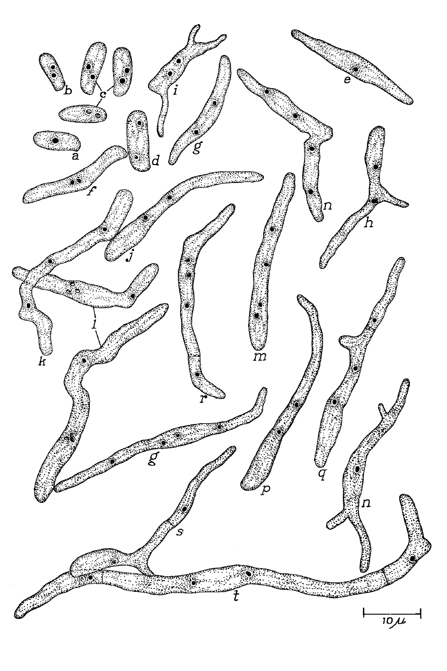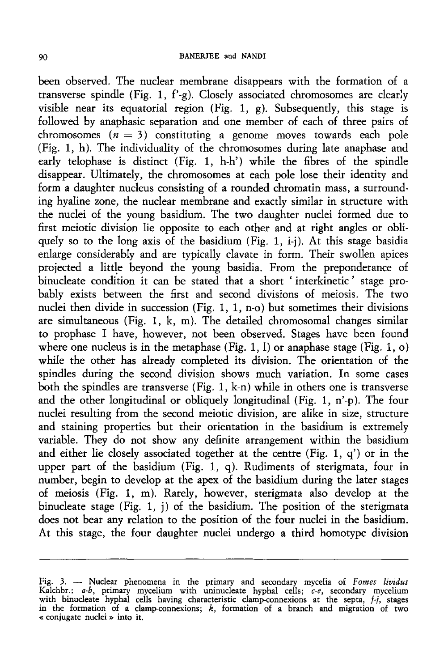#### 90 BANERJEE and NANDI

been observed. The nuclear membrane disappears with the formation of a transverse spindle (Fig. 1,  $f'$ -g). Closely associated chromosomes are clearly visible near its equatorial region (Fig. 1, g). Subsequently, this stage is followed by anaphasic separation and one member of each of three pairs of chromosomes  $(n = 3)$  constituting a genome moves towards each pole (Fig. 1, h). The individuality of the chromosomes during late anaphase and early telophase is distinct (Fig. 1, h-h') while the fibres of the spindle disappear. Ultimately, the chromosomes at each pole lose their identity and form a daughter nucleus consisting of a rounded chromatin mass, a surrounding hyaline zone, the nuclear membrane and exactly similar in structure with the nuclei of the young basidium. The two daughter nuclei formed due to first meiotic division lie opposite to each other and at right angles or obliquely so to the long axis of the basidium (Fig. 1, i-j). At this stage basidia enlarge considerably and are typically clavate in form. Their swollen apices projected a little beyond the young basidia. From the preponderance of binucleate condition it can be stated that a short ' interkinetic ' stage probably exists between the first and second divisions of meiosis. The two nuclei then divide in succession (Fig. 1, 1, n-o) but sometimes their divisions are simultaneous (Fig. 1, k, m). The detailed chromosomal changes similar to prophase I have, however, not been observed. Stages have been found where one nucleus is in the metaphase (Fig. 1, 1) or anaphase stage (Fig. 1,  $o$ ) while the other has already completed its division. The orientation of the spindles during the second division shows much variation. In some cases both the spindles are transverse (Fig. 1, k-n) while in others one is transverse and the other longitudinal or obliquely longitudinal (Fig. 1,  $n^2-p$ ). The four nuclei resulting from the second meiotic division, are alike in size, structure and staining properties but their orientation in the basidium is extremely variable. They do not show any definite arrangement within the basidium and either lie closely associated together at the centre (Fig. 1, q') or in the upper part of the basidium (Fig. 1, q). Rudiments of sterigmata, four in number, begin to develop at the apex of the basidium during the later stages of meiosis (Fig. 1, m). Rarely, however, sterigmata also develop at the binucleate stage (Fig. 1, j) of the basidium. The position of the sterigmata does not bear any relation to the position of the four nuclei in the basidium. At this stage, the four daughter nuclei undergo a third homotype division

Fig. 3. - Nuclear phenomena in the primary and secondary mycelia of *Fames lividus*  Kalchbr.: *a-b,* primary mycelium with uninucleate hyphal cells; *c-e,* secondary mycelium with binucleate hyphal cells having characteristic clamp-connexions at the septa, f-i, stages in the formation of a clamp-connexions;  $k$ , formation of a branch and migration of two « conjugate nuclei » into it.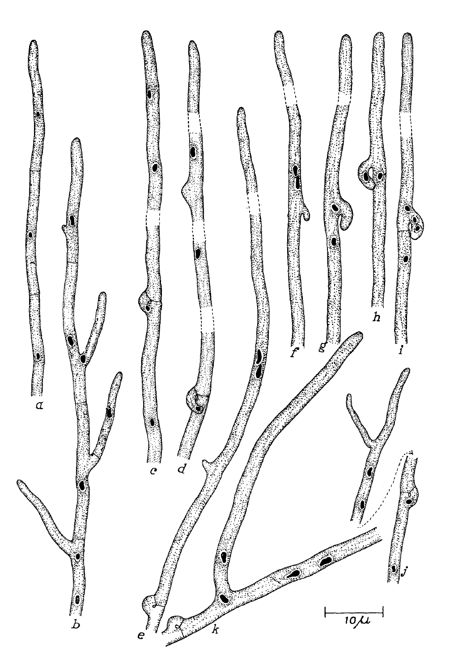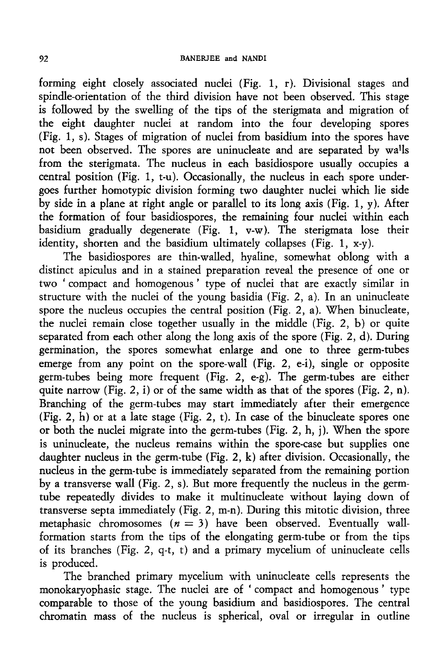forming eight closely associated nuclei (Fig. 1, r). Divisional stages and spindle-orientation of the third division have not been observed. This stage is followed by the swelling of the tips of the sterigmata and migration of the eight daughter nuclei at random into the four developing spores (Fig. 1, s). Stages of migration of nuclei from basidium into the spores have not been observed. The spores are uninucleate and are separated by walls from the sterigmata. The nucleus in each basidiospore usually occupies a central position (Fig. 1, t-u). Occasionally, the nucleus in each spore undergoes further homotypic division forming two daughter nuclei which lie side by side in a plane at right angle or parallel to its long axis (Fig. 1, y). After the formation of four basidiospores, the remaining four nuclei within each basidium gradually degenerate (Fig. 1, v-w). The sterigmata lose their identity, shorten and the basidium ultimately collapses (Fig. 1, x-y).

The basidiospores are thin-walled, hyaline, somewhat oblong with a distinct apiculus and in a stained preparation reveal the presence of one or two ' compact and homogenous ' type of nuclei that are exactly similar in structure with the nuclei of the young basidia (Fig. 2, a). In an uninucleate spore the nucleus occupies the central position (Fig. 2, a). When binucleate, the nuclei remain close together usually in the middle (Fig. 2, b) or quite separated from each other along the long axis of the spore (Fig. 2, d). During germination, the spores somewhat enlarge and one to three germ-tubes emerge from any point on the spore-wall (Fig. 2, e-i), single or opposite germ-tubes being more frequent (Fig. 2, e-g). The germ-tubes are either quite narrow (Fig. 2, i) or of the same width as that of the spores (Fig. 2, n). Branching of the germ-tubes may start immediately after their emergence (Fig. 2, h) or at a late stage (Fig. 2, t). In case of the binucleate spores one or both the nuclei migrate into the germ-tubes (Fig. 2, h, j). When the spore is uninucleate, the nucleus remains within the spore-case but supplies one daughter nucleus in the germ-tube (Fig. 2, k) after division. Occasionally, the nucleus in the germ-tube is immediately separated from the remaining portion by a transverse wall (Fig. 2, s). But more frequently the nucleus in the germtube repeatedly divides to make it multinucleate without laying down of transverse septa immediately (Fig. 2, m-n). During this mitotic division, three metaphasic chromosomes  $(n = 3)$  have been observed. Eventually wallformation starts from the tips of the elongating germ-tube or from the tips of its branches (Fig. 2, q-t, t) and a primary mycelium of uninucleate cells is produced.

The branched primary mycelium with uninucleate cells represents the monokaryophasic stage. The nuclei are of 'compact and homogenous' type comparable to those of the young basidium and basidiospores. The central chromatin mass of the nucleus is spherical, oval or irregular in outline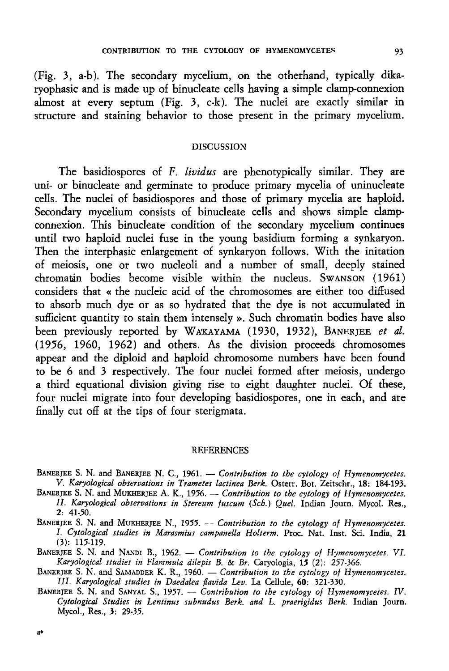(Fig. 3, a-b). The secondary mycelium, on the other hand, typically dikaryophasic and is made up of binucleate cells having a simple clamp-connexion almost at every septum (Fig. 3, c-k). The nuclei are exactly similar in structure and staining behavior to those present in the primary mycelium.

#### DISCUSSION

The basidiospores of *F. lividus* are phenotypically similar. They are uni- or binucleate and germinate to produce primary mycelia of uninucleate cells. The nuclei of basidiospores and those of primary mycelia are haploid. Secondary mycelium consists of binucleate cells and shows simple clampconnexion. This binucleate condition of the secondary mycelium continues until two haploid nuclei fuse in the young basidium forming a synkaryon. Then the interphasic enlargement of synkaryon follows. With the initation of meiosis, one or two nucleoli and a number of small, deeply stained chromatin bodies become visible within the nucleus. SWANSON (1961) considers that « the nucleic acid of the chromosomes are either too diffused to absorb much dye or as so hydrated that the dye is not accumulated in sufficient quantity to stain them intensely ». Such chromatin bodies have also been previously reported by WAKAYAMA (1930, 1932), BANERJEE et al. (1956, 1960, 1962) and others. As the division proceeds chromosomes appear and the diploid and haploid chromosome numbers have been found to be 6 and 3 respectively. The four nuclei formed after meiosis, undergo a third equational division giving rise to eight daughter nuclei. Of these, four nuclei migrate into four developing basidiospores, one in each, and are finally cut off at the tips of four sterigmata.

#### REFERENCES

- BANERJEE S. N. and BANERJEE N. C., 1961. *Contribution to the cytology of Hymenomycetes. V. Karyological observations in Trametes lactinea Berk.* Osterr. Bot. Zeitschr., 18: 184-193.
- BANERJEE S. N. and MUKHERJEE A. K., 1956. *Contribution to the cytology of Hymenomycetes*. *II. Karyological observations in Stereum fuscum (Sch.) Quel.* Indian Journ. Mycol. Res., 2: 41-50.
- BANERJEE S. N. and MUKHERJEE N., 1955. *Contribution to the cytology of Hymenomycetes*. *I. Cytological studies in Marasmius campanella Holterm.* Proc. Nat. lnst. Sci. India, 21 (3): 115-119.
- BANERJEE S. N. and NANDI B., 1962. *Contribution to the cytology of Hymenomycetes. VI.* Karyological studies in Flammula dilepis B. & Br. Caryologia, 15 (2): 257-366.
- BANERJEE S. N. and SAMADDER K. R., 1960. Contribution to the cytology of Hymenomycetes. *III. Karyological studies in Daedalea flavida Lev.* La Cellule, 60: 321-330.
- BANERJEE S. N. and SANYAL S., 1957. *Contribution to the cytology of Hymenomycetes. IV. Cytological Studies in Lentinus subnudus Berk. and* L. *praerigidus Berk.* Indian Journ. Mycol., Res., 3: 29-35.